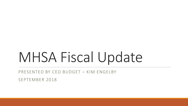# MHSA Fiscal Update

PRESENTED BY CEO BUDGET – KIM ENGELBY

SEPTEMBER 2018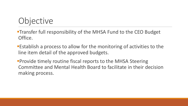# **Objective**

- **-Transfer full responsibility of the MHSA Fund to the CEO Budget** Office.
- Establish a process to allow for the monitoring of activities to the line item detail of the approved budgets.
- **Provide timely routine fiscal reports to the MHSA Steering** Committee and Mental Health Board to facilitate in their decision making process.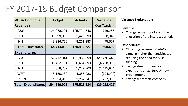# FY 2017-18 Budget Comparison

| <b>MHSA Component</b>     | <b>Budget</b> | <b>Actuals</b> | <b>Variance</b> |  |
|---------------------------|---------------|----------------|-----------------|--|
| <b>Revenues</b>           |               |                | Over/(Under)    |  |
| <b>CSS</b>                | 124,978,291   | 125,724,546    | 746,255         |  |
| PEI                       | 31,399,852    | 31,428,798     | 28,946          |  |
| <b>INN</b>                | 8,336,790     | 8,261,283      | (75, 507)       |  |
| <b>Total Revenues</b>     | 164,714,933   | 165,414,627    | 699,694         |  |
| <b>Expenditures</b>       |               |                |                 |  |
| <b>CSS</b>                | 152,712,341   | 131,935,898    | (20, 776, 443)  |  |
| <b>PEI</b>                | 35,452,761    | 30,684,393     | (4,768,368)     |  |
| <b>INN</b>                | 6,688,707     | 5,272,763      | (1, 415, 944)   |  |
| <b>WET</b>                | 5,150,282     | 4,355,983      | (794, 299)      |  |
| <b>CFTN</b>               | 4,534,915     | 3,267,547      | (1, 267, 368)   |  |
| <b>Total Expenditures</b> | 204,539,006   | 175,516,584    | (29, 022, 422)  |  |

#### **Variance Explanations:**

#### **Revenue:**

• Change in methodology in the allocation of the interest earned.

#### **Expenditures:**

- **•** Offsetting revenue (Medi-Cal) came in higher than anticipated reducing the need for MHSA funding.
- **Savings due to timing for** expansions or startups of new programming.
- **Savings from staff vacancies.**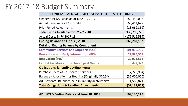### FY 2017-18 Budget Summary

| FY 2017-18 MENTAL HEALTH SERVICES ACT (MHSA) FUNDS    |                 |  |  |  |
|-------------------------------------------------------|-----------------|--|--|--|
| Unspent MHSA Funds as of June 30, 2017                | 183,454,008     |  |  |  |
| Actual Revenue for FY 2017-18                         | 165,414,627     |  |  |  |
| <b>Prior Period Adjustments</b>                       | (13,069,859)    |  |  |  |
| <b>Total Funds Available for FY 2017-18</b>           | 335,798,776     |  |  |  |
| Actual Costs in FY 2017-18                            | (175, 516, 584) |  |  |  |
| <b>Ending Balance at June 30, 2018</b>                | 160,282,192     |  |  |  |
| <b>Detail of Ending Balance by Component</b>          |                 |  |  |  |
| <b>Community Services and Supports (CSS)</b>          | 101,910,790     |  |  |  |
| <b>Prevention and Early Intervention (PEI)</b>        | 27,985,564      |  |  |  |
| <b>Innovation (INN)</b>                               | 29,913,516      |  |  |  |
| <b>Capital Facilities and Technological Needs</b>     | 472,322         |  |  |  |
| <b>Obligations &amp; Pending Adjustments</b>          |                 |  |  |  |
| Purchase - Site of Co-Located Services                | (7, 723, 934)   |  |  |  |
| Balance - Allocation for Housing (Originally \$70.5M) | (55,000,000)    |  |  |  |
| Adjustments - Balances held in liability acct/reserve | 11,586,871      |  |  |  |
| <b>Total Obligations &amp; Pending Adjustments</b>    | (51, 137, 063)  |  |  |  |
|                                                       |                 |  |  |  |
| <b>ADJUSTED Ending Balance at June 30, 2018</b>       | 109,145,129     |  |  |  |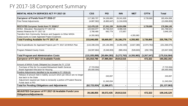### FY 2017-18 Component Summary

| MENTAL HEALTH SERVICES ACT FY 2017-18                                                                          | <b>CSS</b>      | PEI            | <b>INN</b>    | <b>WET</b>                  | <b>CFTN</b> | <b>Total</b>    |
|----------------------------------------------------------------------------------------------------------------|-----------------|----------------|---------------|-----------------------------|-------------|-----------------|
| <b>Carryover of Funds from FY 2016-17</b>                                                                      | 117,365,707     | 34,106,806     | 28,241,626    |                             | 3,739,869   | 183,454,008     |
| <b>Prior Period Adjustments</b>                                                                                | (4,887,582)     | (6,865,647)    | (1,316,630)   |                             |             | (13,069,859)    |
|                                                                                                                |                 |                |               |                             |             |                 |
| <b>RESTATED Carryover funds from FY 2016/17</b>                                                                | 112,478,125     | 27,241,159     | 26,924,996    |                             | 3,739,869   | 170,384,149     |
| MHSA Allocation Received for FY 2017-18                                                                        | 122,944,077     | 30,736,019     | 8,088,426     |                             |             | 161,768,522     |
| Interest Revenue for FY 2017-18                                                                                | 2,780,469       | 692,779        | 172,857       |                             |             | 3,646,105       |
| Transfers from Community Services and Supports to Other MHSA<br>Subaccounts to Cover Approved Project Expenses | (4,355,983)     |                |               | 4,355,983                   |             |                 |
| <b>Total Funding Available for FY 2017-18</b>                                                                  | 233,846,688     | 58,669,957     | 35,186,279    | 4,355,983                   | 3,739,869   | 335,798,776     |
|                                                                                                                |                 |                |               |                             |             |                 |
| Total Expenditures for Approved Projects per FY 2017-18 MHSA Plan                                              | (115, 338, 234) | (25, 136, 390) | (4, 292, 309) | (3,827,380)                 | (2,974,762) | (151, 569, 075) |
|                                                                                                                |                 |                |               |                             |             |                 |
| <b>Program Related County Costs</b>                                                                            | (16, 597, 664)  | (5,548,003)    | (980, 454)    | (528, 603)                  | (292, 785)  | (23, 947, 509)  |
|                                                                                                                |                 |                |               |                             |             |                 |
| <b>Total Program and Administrative Costs</b>                                                                  | (131, 935, 898) | (30, 684, 393) |               | $(5,272,763)$ $(4,355,983)$ | (3,267,547) | (175, 516, 584) |
| <b>Carryover of FY 2017-18 Available Funds</b>                                                                 | 101,910,790     | 27,985,564     | 29,913,516    |                             | 472,322     | 160,282,192     |
|                                                                                                                |                 |                |               |                             |             |                 |
| Amount of MHSA Funds Obligated but Unspent for FY 17/18                                                        |                 |                |               |                             |             |                 |
| Purchase of Site for Co-Located Behavrioral Health Services                                                    | (7, 723, 934)   |                |               |                             |             | (7, 723, 934)   |
| Board Approved Allocation for Housing                                                                          | (55,000,000)    |                |               |                             |             | (55,000,000)    |
| Pending Adjustments identified to be recorded in FY 2018-19:                                                   |                 |                |               |                             |             |                 |
| Release of amount held in liability account which per AB114 are no longer<br>due back to the State             |                 | 243,837        |               |                             |             | 243,837         |
| Adjustment required per State to reclassify a portion of Prudent Reserve                                       |                 |                |               |                             |             |                 |
| Funds back to PEI                                                                                              |                 | 11,343,034     |               |                             |             | 11,343,034      |
| <b>Total for Pending Obligations and Adjustments</b>                                                           | (62, 723, 934)  | 11,586,871     |               |                             |             | (51, 137, 063)  |
|                                                                                                                |                 |                |               |                             |             |                 |
| <b>ADJUSTED Carryover of FY 2017-18 Available Funds Less</b><br><b>Obligations/Adjustments</b>                 | 39,186,856      | 39,572,435     | 29,913,516    |                             | 472,322     | 109,145,129     |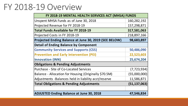## FY 2018-19 Overview

| FY 2018-19 MENTAL HEALTH SERVICES ACT (MHSA) FUNDS    |                |  |  |  |
|-------------------------------------------------------|----------------|--|--|--|
| Unspent MHSA Funds as of June 30, 2018                | 160,282,192    |  |  |  |
| Projected Revenue for FY 2018-19                      | 157,298,871    |  |  |  |
| <b>Total Funds Available for FY 2018-19</b>           | 317,581,063    |  |  |  |
| Projected Costs in FY 2018-19                         | 218,897,166    |  |  |  |
| Projected Ending Balance at June 30, 2019 (SEE BELOW) | 98,683,897     |  |  |  |
| <b>Detail of Ending Balance by Component</b>          |                |  |  |  |
| <b>Community Services and Supports (CSS)</b>          | 50,486,090     |  |  |  |
| <b>Prevention and Early Intervention (PEI)</b>        | 22,523,603     |  |  |  |
| <b>Innovation (INN)</b>                               | 25,674,204     |  |  |  |
| <b>Obligations &amp; Pending Adjustments</b>          |                |  |  |  |
| Purchase - Site of Co-Located Services                | (7, 723, 934)  |  |  |  |
| Balance - Allocation for Housing (Originally \$70.5M) | (55,000,000)   |  |  |  |
| Adjustments -Balances held in liability acct/reserve  | 11,586,871     |  |  |  |
| <b>Total Obligations &amp; Pending Adjustments</b>    | (51, 137, 063) |  |  |  |
|                                                       |                |  |  |  |
| <b>ADJUSTED Ending Balance at June 30, 2018</b>       | 47,546,834     |  |  |  |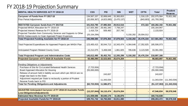### FY 2018-19 Projection Summary

| MENTAL HEALTH SERVICES ACT FY 2018-19                               | <b>CSS</b>     | <b>PEI</b>  | <b>INN</b>   | <b>WET</b> | <b>CFTN</b> | <b>Total</b>   |                |
|---------------------------------------------------------------------|----------------|-------------|--------------|------------|-------------|----------------|----------------|
| Carryover of Funds from FY 2017-18                                  | 134,567,157    | 32,808,649  | 33, 383, 653 |            | 1,316,125   | 202,075,584    | 70,921,582     |
| <b>Prior Period Adjustments</b>                                     | (32, 656, 367) | (4,823,085) | (3,470,137)  |            | (843, 803)  | (41, 793, 392) |                |
|                                                                     |                |             |              |            |             |                |                |
| <b>RESTATED Carryover funds from FY 2017/18</b>                     | 101,910,790    | 27,985,564  | 29,913,516   |            | 472,322     | 160,282,192    | 70,921,582     |
| Projected MHSA Allocation for FY 2018-19                            | 117,925,360    | 29,481,340  | 7,758,247    |            |             | 155, 164, 947  |                |
| Projected Interest Revenue for FY 2018-19                           | 1,416,724      | 509,460     | 207,740      |            |             | 2,133,924      |                |
| Projected Transfers from Community Services and Supports to Other   | (25, 154, 294) |             |              | 5,150,282  | 20,004,012  |                |                |
| MHSA Subaccounts to Cover Approved Project Expenses                 |                |             |              |            |             |                |                |
| Total Projected Funding Available for FY 2018-19                    | 196,098,580    | 57,976,364  | 37,879,503   | 5,150,282  | 20,476,334  | 317,581,063    | 70,921,582     |
|                                                                     |                |             |              |            |             |                |                |
| Total Projected Expenditures for Approved Projects per MHSA Plan    | 123,400,415    | 30,044,713  | 10,343,474   | 4,364,646  | 17,352,825  | 185,506,073    |                |
|                                                                     |                |             |              |            |             |                |                |
| Anticipated Program Related County Costs                            | 22,212,075     | 5,408,048   | 1,861,825    | 785,636    | 3,123,509   | 33,391,093     |                |
|                                                                     |                |             |              |            |             |                |                |
| Total Projected Program and Administrative Costs                    | 145,612,490    | 35,452,761  | 12,205,299   | 5,150,282  | 20,476,334  | 218,897,166    |                |
| <b>Projected Carryover of FY 2018-19 Available Funds</b>            | 50,486,090     | 22,523,603  | 25,674,204   |            |             | 98,683,897     | 70,921,582     |
|                                                                     |                |             |              |            |             |                |                |
| Pending Obligations or Adjustments                                  |                |             |              |            |             |                |                |
| Purchase of Site for Co-Located Behavioral Health Services          | (7, 723, 934)  |             |              |            |             | (7, 723, 934)  |                |
| Board Approved Allocation for Housing                               | (55,000,000)   |             |              |            |             | (55,000,000)   |                |
| Release of amount held in liability account which per AB114 are no  |                | 243,837     |              |            |             | 243,837        |                |
| longer due back to the State                                        |                |             |              |            |             |                |                |
| Adjustment required per State to reclassify a portion of Prudent    |                | 11,343,034  |              |            |             | 11,343,034     | (11, 343, 034) |
| Reserve Funds back to PEI                                           |                |             |              |            |             |                |                |
| <b>Total for Pending Obligations and Adjustments</b>                | (62, 723, 934) | 11,586,871  |              |            |             | (51, 137, 063) | (11, 343, 034) |
|                                                                     |                |             |              |            |             |                |                |
| <b>ADJUSTED Anticipated Carryover of FY 2018-19 Available Funds</b> | (12, 237, 844) | 34,110,474  | 25,674,204   |            |             | 47,546,834     | 59,578,548     |
| <b>Less Obligations/Adjustments</b>                                 |                |             |              |            |             |                |                |
| <b>Estimated New Revenue for FY 2019-20</b>                         | 121,939,586    | 30,640,176  | 8,136,876    |            |             | 160,716,638    |                |
| Projected Available Funds for FY 2019-20                            | 109,701,742    | 64,750,650  | 33,811,080   |            |             | 208, 263, 472  | 59,578,548     |